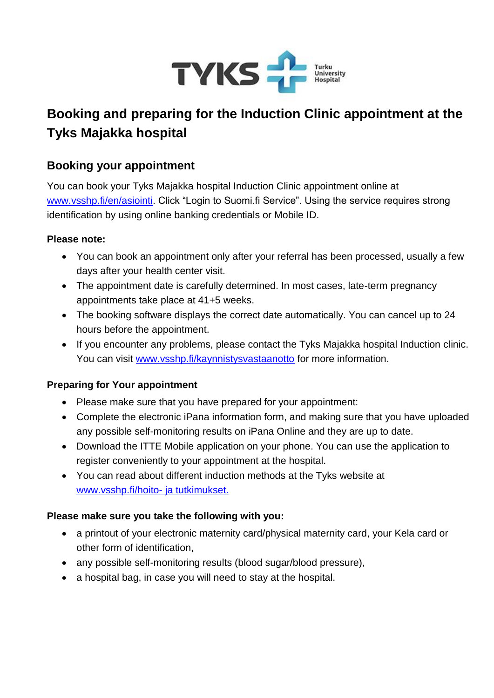

# **Booking and preparing for the Induction Clinic appointment at the Tyks Majakka hospital**

## **Booking your appointment**

You can book your Tyks Majakka hospital Induction Clinic appointment online at [www.vsshp.fi/en/asiointi.](https://www.vsshp.fi/en/asiointi/Pages/default.aspx) Click "Login to Suomi.fi Service". Using the service requires strong identification by using online banking credentials or Mobile ID.

#### **Please note:**

- You can book an appointment only after your referral has been processed, usually a few days after your health center visit.
- The appointment date is carefully determined. In most cases, late-term pregnancy appointments take place at 41+5 weeks.
- The booking software displays the correct date automatically. You can cancel up to 24 hours before the appointment.
- If you encounter any problems, please contact the Tyks Majakka hospital Induction clinic. You can visit [www.vsshp.fi/kaynnistysvastaanotto](https://www.vsshp.fi/fi/toimipaikat/tyks/osastot-ja-poliklinikat/Sivut/kaynnistyspoliklinikka.aspx) for more information.

#### **Preparing for Your appointment**

- Please make sure that you have prepared for your appointment:
- Complete the electronic iPana information form, and making sure that you have uploaded any possible self-monitoring results on iPana Online and they are up to date.
- Download the ITTE Mobile application on your phone. You can use the application to register conveniently to your appointment at the hospital.
- You can read about different induction methods at the Tyks website at [www.vsshp.fi/hoito-](https://www.vsshp.fi/fi/hoito-ja-tutkimukset/Sivut/synnytyksen-kaynnistaminen.aspx) ja tutkimukset.

#### **Please make sure you take the following with you:**

- a printout of your electronic maternity card/physical maternity card, your Kela card or other form of identification,
- any possible self-monitoring results (blood sugar/blood pressure),
- a hospital bag, in case you will need to stay at the hospital.